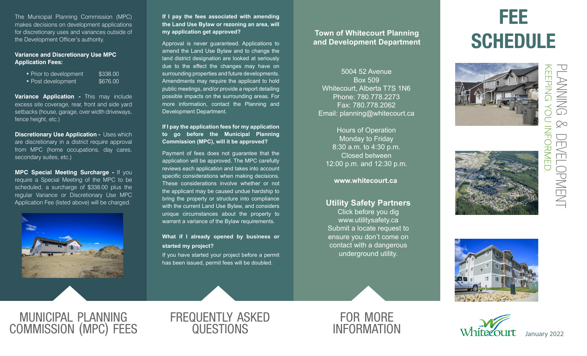The Municipal Planning Commission (MPC) makes decisions on development applications for discretionary uses and variances outside of the Development Officer's authority.

#### **Variance and Discretionary Use MPC Application Fees:**

| • Prior to development | \$338.00 |
|------------------------|----------|
| • Post development     | \$676,00 |

**Variance Application -** This may include excess site coverage, rear, front and side yard setbacks (house, garage, over width driveways, fence height, etc.)

**Discretionary Use Application - Uses which** are discretionary in a district require approval from MPC (home occupations, day cares, secondary suites, etc.)

**MPC Special Meeting Surcharge -** If you require a Special Meeting of the MPC to be scheduled, a surcharge of \$338.00 plus the regular Variance or Discretionary Use MPC Application Fee (listed above) will be charged.



**If I pay the fees associated with amending the Land Use Bylaw or rezoning an area, will my application get approved?**

Approval is never guaranteed. Applications to amend the Land Use Bylaw and to change the land district designation are looked at seriously due to the effect the changes may have on surrounding properties and future developments. Amendments may require the applicant to hold public meetings, and/or provide a report detailing possible impacts on the surrounding areas. For more information, contact the Planning and Development Department.

**If I pay the application fees for my application to go before the Municipal Planning Commission (MPC), will it be approved?**

Payment of fees does not guarantee that the application will be approved. The MPC carefully reviews each application and takes into account specific considerations when making decisions. These considerations involve whether or not the applicant may be caused undue hardship to bring the property or structure into compliance with the current Land Use Bylaw, and considers unique circumstances about the property to warrant a variance of the Bylaw requirements.

#### **What if I already opened by business or started my project?**

If you have started your project before a permit has been issued, permit fees will be doubled.

### **Town of Whitecourt Planning and Development Department**

5004 52 Avenue Box 509 Whitecourt, Alberta T7S 1N6 Phone: 780.778.2273 Fax: 780.778.2062 Email: planning@whitecourt.ca

Hours of Operation Monday to Friday 8:30 a.m. to 4:30 p.m. Closed between 12:00 p.m. and 12:30 p.m.

**www.whitecourt.ca**

## **Utility Safety Partners**

Click before you dig www.utilitysafety.ca Submit a locate request to ensure you don't come on contact with a dangerous underground utility.

# FEE **SCHEDULE**







municipal planning commission (mpc) fees

## frequently asked **QUESTIONS**





development

PMENT